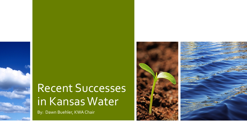# Recent Successes in Kansas Water

By: Dawn Buehler, KWA Chair

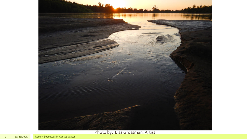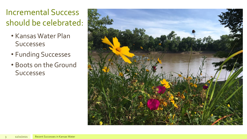### Incremental Success should be celebrated:

- Kansas Water Plan **Successes**
- Funding Successes
- Boots on the Ground Successes

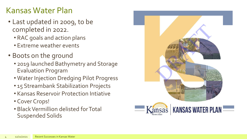### Kansas Water Plan

- Last updated in 2009, to be completed in 2022.
	- RAC goals and action plans
	- Extreme weather events
- Boots on the ground
	- 2019 launched Bathymetry and Storage Evaluation Program
	- Water Injection Dredging Pilot Progress
	- 15 Streambank Stabilization Projects
	- Kansas Reservoir Protection Intiative
	- Cover Crops!
	- Black Vermillion delisted for Total Suspended Solids

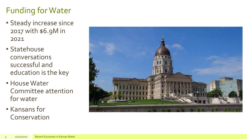## Funding for Water

- Steady increase since 2017 with \$6.9M in 2021
- Statehouse conversations successful and education is the key
- House Water Committee attention for water
- Kansans for Conservation

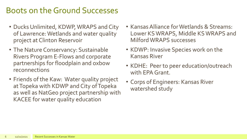### Boots on the Ground Successes

- Ducks Unlimited, KDWP, WRAPS and City of Lawrence: Wetlands and water quality project at Clinton Reservoir
- The Nature Conservancy: Sustainable Rivers Program E-Flows and corporate partnerships for floodplain and oxbow reconnections
- Friends of the Kaw: Water quality project at Topeka with KDWP and City of Topeka as well as NatGeo project partnership with KACEE for water quality education
- Kansas Alliance for Wetlands & Streams: Lower KS WRAPS, Middle KS WRAPS and Milford WRAPS successes
- KDWP: Invasive Species work on the Kansas River
- KDHE: Peer to peer education/outreach with EPA Grant.
- Corps of Engineers: Kansas River watershed study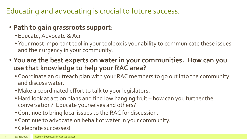#### Educating and advocating is crucial to future success.

#### • **Path to gain grassroots support**:

- Educate, Advocate & Act
- Your most important tool in your toolbox is your ability to communicate these issues and their urgency in your community.
- **You are the best experts on water in your communities. How can you use that knowledge to help your RAC area?** 
	- Coordinate an outreach plan with your RAC members to go out into the community and discuss water.
	- Make a coordinated effort to talk to your legislators.
	- •Hard look at action plans and find low hanging fruit how can you further the conversation? Educate yourselves and others?
	- Continue to bring local issues to the RAC for discussion.
	- Continue to advocate on behalf of water in your community.
	- Celebrate successes!